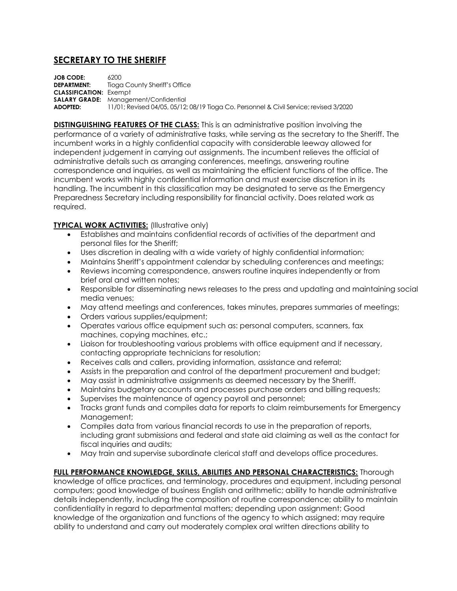## **SECRETARY TO THE SHERIFF**

**JOB CODE:** 6200 **DEPARTMENT:** Tioga County Sheriff's Office **CLASSIFICATION:** Exempt **SALARY GRADE:** Management/Confidential<br>**ADOPTED:** 11/01: Revised 04/05. 05/12 **ADOPTED:** 11/01; Revised 04/05, 05/12; 08/19 Tioga Co. Personnel & Civil Service; revised 3/2020

**DISTINGUISHING FEATURES OF THE CLASS:** This is an administrative position involving the performance of a variety of administrative tasks, while serving as the secretary to the Sheriff. The incumbent works in a highly confidential capacity with considerable leeway allowed for independent judgement in carrying out assignments. The incumbent relieves the official of administrative details such as arranging conferences, meetings, answering routine correspondence and inquiries, as well as maintaining the efficient functions of the office. The incumbent works with highly confidential information and must exercise discretion in its handling. The incumbent in this classification may be designated to serve as the Emergency Preparedness Secretary including responsibility for financial activity. Does related work as required.

## **TYPICAL WORK ACTIVITIES: (Illustrative only)**

- Establishes and maintains confidential records of activities of the department and personal files for the Sheriff;
- Uses discretion in dealing with a wide variety of highly confidential information;
- Maintains Sheriff's appointment calendar by scheduling conferences and meetings;
- Reviews incoming correspondence, answers routine inquires independently or from brief oral and written notes;
- Responsible for disseminating news releases to the press and updating and maintaining social media venues;
- May attend meetings and conferences, takes minutes, prepares summaries of meetings;
- Orders various supplies/equipment;
- Operates various office equipment such as: personal computers, scanners, fax machines, copying machines, etc.;
- Liaison for troubleshooting various problems with office equipment and if necessary, contacting appropriate technicians for resolution;
- Receives calls and callers, providing information, assistance and referral;
- Assists in the preparation and control of the department procurement and budget;
- May assist in administrative assignments as deemed necessary by the Sheriff.
- Maintains budgetary accounts and processes purchase orders and billing requests;
- Supervises the maintenance of agency payroll and personnel;
- Tracks grant funds and compiles data for reports to claim reimbursements for Emergency Management;
- Compiles data from various financial records to use in the preparation of reports, including grant submissions and federal and state aid claiming as well as the contact for fiscal inquiries and audits;
- May train and supervise subordinate clerical staff and develops office procedures.

**FULL PERFORMANCE KNOWLEDGE, SKILLS, ABILITIES AND PERSONAL CHARACTERISTICS:** Thorough knowledge of office practices, and terminology, procedures and equipment, including personal computers; good knowledge of business English and arithmetic; ability to handle administrative details independently, including the composition of routine correspondence; ability to maintain confidentiality in regard to departmental matters; depending upon assignment; Good knowledge of the organization and functions of the agency to which assigned; may require ability to understand and carry out moderately complex oral written directions ability to